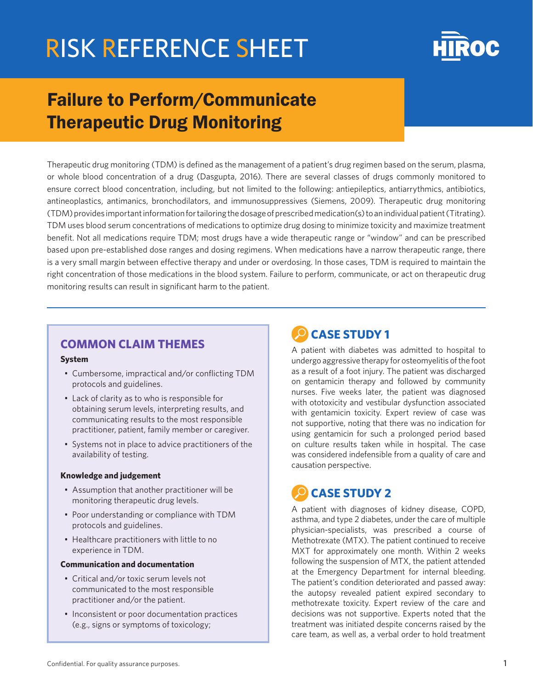

## Failure to Perform/Communicate Therapeutic Drug Monitoring

Therapeutic drug monitoring (TDM) is defined as the management of a patient's drug regimen based on the serum, plasma, or whole blood concentration of a drug (Dasgupta, 2016). There are several classes of drugs commonly monitored to ensure correct blood concentration, including, but not limited to the following: antiepileptics, antiarrythmics, antibiotics, antineoplastics, antimanics, bronchodilators, and immunosuppressives (Siemens, 2009). Therapeutic drug monitoring (TDM) provides important information for tailoring the dosage of prescribed medication(s) to an individual patient (Titrating). TDM uses blood serum concentrations of medications to optimize drug dosing to minimize toxicity and maximize treatment benefit. Not all medications require TDM; most drugs have a wide therapeutic range or "window" and can be prescribed based upon pre-established dose ranges and dosing regimens. When medications have a narrow therapeutic range, there is a very small margin between effective therapy and under or overdosing. In those cases, TDM is required to maintain the right concentration of those medications in the blood system. Failure to perform, communicate, or act on therapeutic drug monitoring results can result in significant harm to the patient.

#### **COMMON CLAIM THEMES**

#### **System**

- Cumbersome, impractical and/or conflicting TDM protocols and guidelines.
- Lack of clarity as to who is responsible for obtaining serum levels, interpreting results, and communicating results to the most responsible practitioner, patient, family member or caregiver.
- Systems not in place to advice practitioners of the availability of testing.

#### **Knowledge and judgement**

- Assumption that another practitioner will be monitoring therapeutic drug levels.
- Poor understanding or compliance with TDM protocols and guidelines.
- Healthcare practitioners with little to no experience in TDM.

#### **Communication and documentation**

- Critical and/or toxic serum levels not communicated to the most responsible practitioner and/or the patient.
- Inconsistent or poor documentation practices (e.g., signs or symptoms of toxicology;

### **CASE STUDY 1**

A patient with diabetes was admitted to hospital to undergo aggressive therapy for osteomyelitis of the foot as a result of a foot injury. The patient was discharged on gentamicin therapy and followed by community nurses. Five weeks later, the patient was diagnosed with ototoxicity and vestibular dysfunction associated with gentamicin toxicity. Expert review of case was not supportive, noting that there was no indication for using gentamicin for such a prolonged period based on culture results taken while in hospital. The case was considered indefensible from a quality of care and causation perspective.

## **CASE STUDY 2**

A patient with diagnoses of kidney disease, COPD, asthma, and type 2 diabetes, under the care of multiple physician-specialists, was prescribed a course of Methotrexate (MTX). The patient continued to receive MXT for approximately one month. Within 2 weeks following the suspension of MTX, the patient attended at the Emergency Department for internal bleeding. The patient's condition deteriorated and passed away: the autopsy revealed patient expired secondary to methotrexate toxicity. Expert review of the care and decisions was not supportive. Experts noted that the treatment was initiated despite concerns raised by the care team, as well as, a verbal order to hold treatment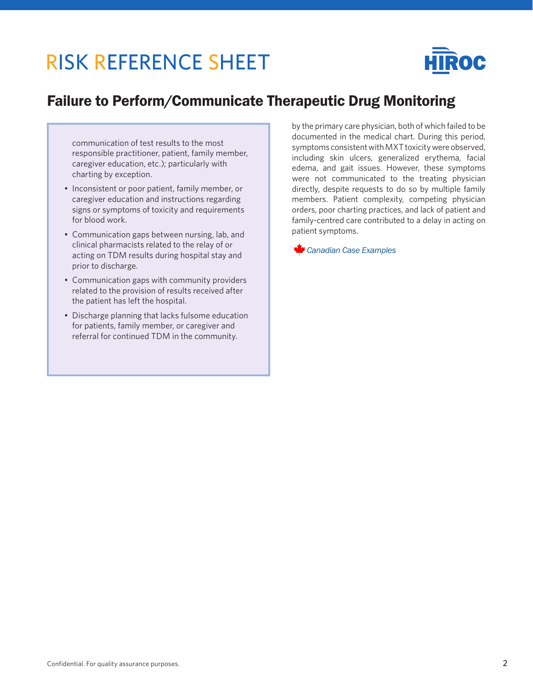

### Failure to Perform/Communicate Therapeutic Drug Monitoring

communication of test results to the most responsible practitioner, patient, family member, caregiver education, etc.); particularly with charting by exception.

- Inconsistent or poor patient, family member, or caregiver education and instructions regarding signs or symptoms of toxicity and requirements for blood work.
- Communication gaps between nursing, lab, and clinical pharmacists related to the relay of or acting on TDM results during hospital stay and prior to discharge.
- Communication gaps with community providers related to the provision of results received after the patient has left the hospital.
- Discharge planning that lacks fulsome education for patients, family member, or caregiver and referral for continued TDM in the community.

by the primary care physician, both of which failed to be documented in the medical chart. During this period, symptoms consistent with MXT toxicity were observed, including skin ulcers, generalized erythema, facial edema, and gait issues. However, these symptoms were not communicated to the treating physician directly, despite requests to do so by multiple family members. Patient complexity, competing physician orders, poor charting practices, and lack of patient and family-centred care contributed to a delay in acting on patient symptoms.

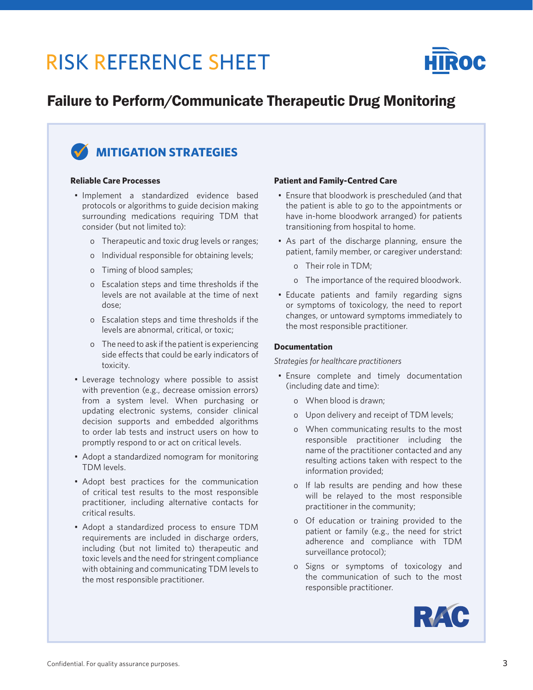

### Failure to Perform/Communicate Therapeutic Drug Monitoring



#### **Reliable Care Processes**

- Implement a standardized evidence based protocols or algorithms to guide decision making surrounding medications requiring TDM that consider (but not limited to):
	- o Therapeutic and toxic drug levels or ranges;
	- o Individual responsible for obtaining levels;
	- o Timing of blood samples;
	- o Escalation steps and time thresholds if the levels are not available at the time of next dose;
	- o Escalation steps and time thresholds if the levels are abnormal, critical, or toxic;
	- o The need to ask if the patient is experiencing side effects that could be early indicators of toxicity.
- Leverage technology where possible to assist with prevention (e.g., decrease omission errors) from a system level. When purchasing or updating electronic systems, consider clinical decision supports and embedded algorithms to order lab tests and instruct users on how to promptly respond to or act on critical levels.
- Adopt a standardized nomogram for monitoring TDM levels.
- Adopt best practices for the communication of critical test results to the most responsible practitioner, including alternative contacts for critical results.
- Adopt a standardized process to ensure TDM requirements are included in discharge orders, including (but not limited to) therapeutic and toxic levels and the need for stringent compliance with obtaining and communicating TDM levels to the most responsible practitioner.

#### **Patient and Family-Centred Care**

- Ensure that bloodwork is prescheduled (and that the patient is able to go to the appointments or have in-home bloodwork arranged) for patients transitioning from hospital to home.
- As part of the discharge planning, ensure the patient, family member, or caregiver understand:
	- o Their role in TDM;
	- o The importance of the required bloodwork.
- Educate patients and family regarding signs or symptoms of toxicology, the need to report changes, or untoward symptoms immediately to the most responsible practitioner.

#### **Documentation**

*Strategies for healthcare practitioners*

- Ensure complete and timely documentation (including date and time):
	- o When blood is drawn;
	- o Upon delivery and receipt of TDM levels;
	- o When communicating results to the most responsible practitioner including the name of the practitioner contacted and any resulting actions taken with respect to the information provided;
	- o If lab results are pending and how these will be relayed to the most responsible practitioner in the community;
	- o Of education or training provided to the patient or family (e.g., the need for strict adherence and compliance with TDM surveillance protocol);
	- o Signs or symptoms of toxicology and the communication of such to the most responsible practitioner.

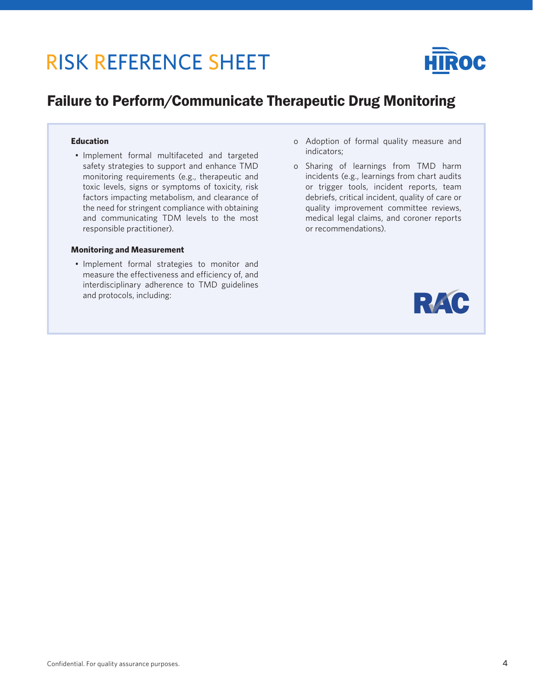

### Failure to Perform/Communicate Therapeutic Drug Monitoring

#### **Education**

• Implement formal multifaceted and targeted safety strategies to support and enhance TMD monitoring requirements (e.g., therapeutic and toxic levels, signs or symptoms of toxicity, risk factors impacting metabolism, and clearance of the need for stringent compliance with obtaining and communicating TDM levels to the most responsible practitioner).

#### **Monitoring and Measurement**

• Implement formal strategies to monitor and measure the effectiveness and efficiency of, and interdisciplinary adherence to TMD guidelines and protocols, including:

- o Adoption of formal quality measure and indicators;
- o Sharing of learnings from TMD harm incidents (e.g., learnings from chart audits or trigger tools, incident reports, team debriefs, critical incident, quality of care or quality improvement committee reviews, medical legal claims, and coroner reports or recommendations).